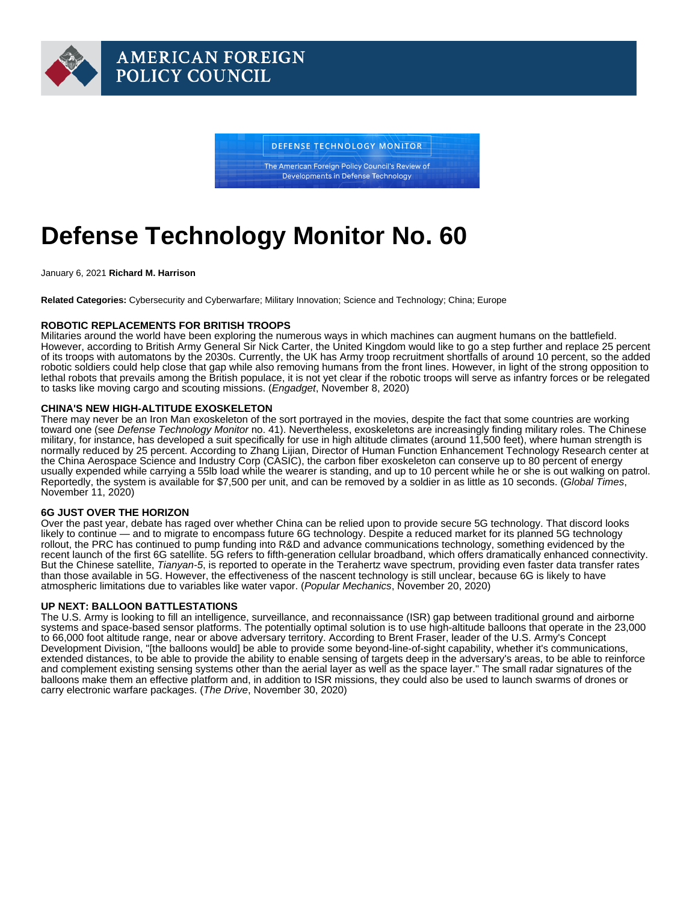# Defense Technology Monitor No. 60

January 6, 2021 Richard M. Harrison

Related Categories: Cybersecurity and Cyberwarfare; Military Innovation; Science and Technology; China; Europe

#### ROBOTIC REPLACEMENTS FOR BRITISH TROOPS

Militaries around the world have been exploring the numerous ways in which machines can augment humans on the battlefield. However, according to British Army General Sir Nick Carter, the United Kingdom would like to go a step further and replace 25 percent of its troops with automatons by the 2030s. Currently, the UK has Army troop recruitment shortfalls of around 10 percent, so the added robotic soldiers could help close that gap while also removing humans from the front lines. However, in light of the strong opposition to lethal robots that prevails among the British populace, it is not yet clear if the robotic troops will serve as infantry forces or be relegated to tasks like moving cargo and scouting missions. ([Engadget](https://www.engadget.com/uk-army-robot-soldiers-173459422.html), November 8, 2020)

## CHINA'S NEW HIGH-ALTITUDE EXOSKELETON

There may never be an Iron Man exoskeleton of the sort portrayed in the movies, despite the fact that some countries are working toward one (see [Defense Technology Monitor](https://www.afpc.org/publications/bulletins/defense-technology-monitor/defense-technology-monitor-no.-41) no. 41). Nevertheless, exoskeletons are increasingly finding military roles. The Chinese military, for instance, has developed a suit specifically for use in high altitude climates (around 11,500 feet), where human strength is normally reduced by 25 percent. According to Zhang Lijian, Director of Human Function Enhancement Technology Research center at the China Aerospace Science and Industry Corp (CASIC), the carbon fiber exoskeleton can conserve up to 80 percent of energy usually expended while carrying a 55lb load while the wearer is standing, and up to 10 percent while he or she is out walking on patrol. Reportedly, the system is available for \$7,500 per unit, and can be removed by a soldier in as little as 10 seconds. ([Global Times,](http://en.people.cn/n3/2020/1111/c90000-9779088.html) November 11, 2020)

#### 6G JUST OVER THE HORIZON

Over the past year, debate has raged over whether China can be relied upon to provide secure 5G technology. That discord looks likely to continue — and to migrate to encompass future 6G technology. Despite a reduced market for its planned 5G technology rollout, the PRC has continued to pump funding into R&D and advance communications technology, something evidenced by the recent launch of the first 6G satellite. 5G refers to fifth-generation cellular broadband, which offers dramatically enhanced connectivity. But the Chinese satellite, Tianyan-5, is reported to operate in the Terahertz wave spectrum, providing even faster data transfer rates than those available in 5G. However, the effectiveness of the nascent technology is still unclear, because 6G is likely to have atmospheric limitations due to variables like water vapor. [\(Popular Mechanics,](https://www.popularmechanics.com/space/satellites/a34739258/china-launches-first-6g-satellite/) November 20, 2020)

## UP NEXT: BALLOON BATTLESTATIONS

The U.S. Army is looking to fill an intelligence, surveillance, and reconnaissance (ISR) gap between traditional ground and airborne systems and space-based sensor platforms. The potentially optimal solution is to use high-altitude balloons that operate in the 23,000 to 66,000 foot altitude range, near or above adversary territory. According to Brent Fraser, leader of the U.S. Army's Concept Development Division, "[the balloons would] be able to provide some beyond-line-of-sight capability, whether it's communications, extended distances, to be able to provide the ability to enable sensing of targets deep in the adversary's areas, to be able to reinforce and complement existing sensing systems other than the aerial layer as well as the space layer." The small radar signatures of the balloons make them an effective platform and, in addition to ISR missions, they could also be used to launch swarms of drones or carry electronic warfare packages. ([The Drive,](https://www.thedrive.com/the-war-zone/37868/the-army-wants-to-launch-drone-swarms-behind-enemy-lines-from-high-altitude-balloons) November 30, 2020)